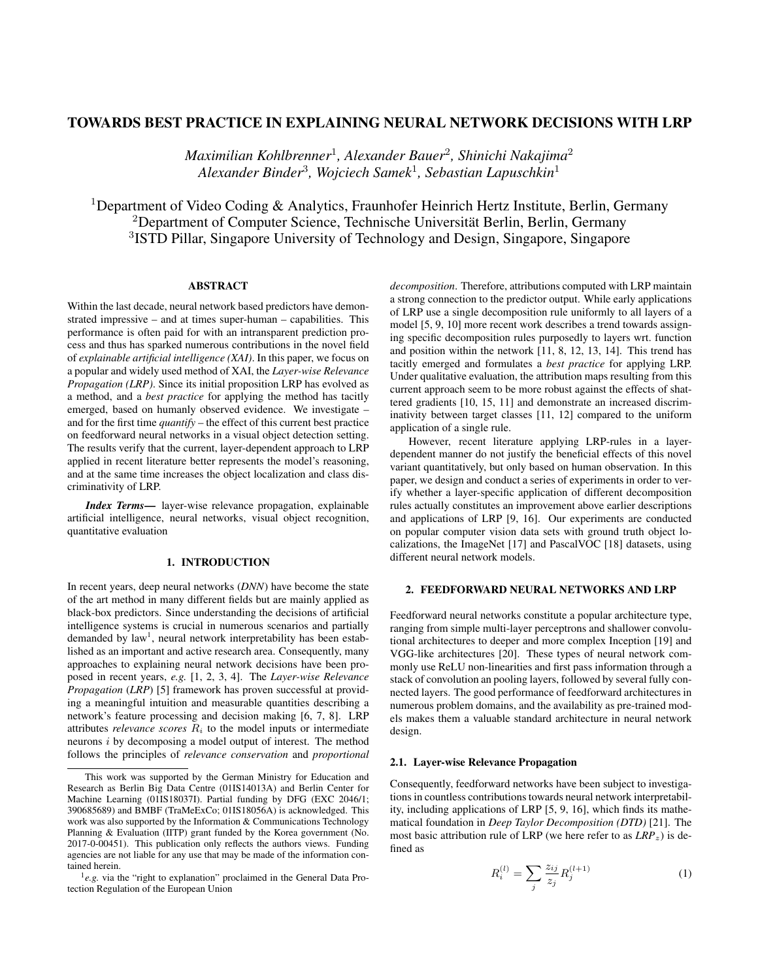# TOWARDS BEST PRACTICE IN EXPLAINING NEURAL NETWORK DECISIONS WITH LRP

*Maximilian Kohlbrenner*<sup>1</sup> *, Alexander Bauer*<sup>2</sup> *, Shinichi Nakajima*<sup>2</sup> *Alexander Binder*<sup>3</sup> *, Wojciech Samek*<sup>1</sup> *, Sebastian Lapuschkin*<sup>1</sup>

<sup>1</sup>Department of Video Coding & Analytics, Fraunhofer Heinrich Hertz Institute, Berlin, Germany <sup>2</sup>Department of Computer Science, Technische Universität Berlin, Berlin, Germany 3 ISTD Pillar, Singapore University of Technology and Design, Singapore, Singapore

# ABSTRACT

Within the last decade, neural network based predictors have demonstrated impressive – and at times super-human – capabilities. This performance is often paid for with an intransparent prediction process and thus has sparked numerous contributions in the novel field of *explainable artificial intelligence (XAI)*. In this paper, we focus on a popular and widely used method of XAI, the *Layer-wise Relevance Propagation (LRP)*. Since its initial proposition LRP has evolved as a method, and a *best practice* for applying the method has tacitly emerged, based on humanly observed evidence. We investigate – and for the first time *quantify* – the effect of this current best practice on feedforward neural networks in a visual object detection setting. The results verify that the current, layer-dependent approach to LRP applied in recent literature better represents the model's reasoning, and at the same time increases the object localization and class discriminativity of LRP.

*Index Terms*— layer-wise relevance propagation, explainable artificial intelligence, neural networks, visual object recognition, quantitative evaluation

# 1. INTRODUCTION

In recent years, deep neural networks (*DNN*) have become the state of the art method in many different fields but are mainly applied as black-box predictors. Since understanding the decisions of artificial intelligence systems is crucial in numerous scenarios and partially demanded by law<sup>1</sup>, neural network interpretability has been established as an important and active research area. Consequently, many approaches to explaining neural network decisions have been proposed in recent years, *e.g.* [1, 2, 3, 4]. The *Layer-wise Relevance Propagation* (*LRP*) [5] framework has proven successful at providing a meaningful intuition and measurable quantities describing a network's feature processing and decision making [6, 7, 8]. LRP attributes *relevance scores*  $R_i$  to the model inputs or intermediate neurons i by decomposing a model output of interest. The method follows the principles of *relevance conservation* and *proportional*

*decomposition*. Therefore, attributions computed with LRP maintain a strong connection to the predictor output. While early applications of LRP use a single decomposition rule uniformly to all layers of a model [5, 9, 10] more recent work describes a trend towards assigning specific decomposition rules purposedly to layers wrt. function and position within the network [11, 8, 12, 13, 14]. This trend has tacitly emerged and formulates a *best practice* for applying LRP. Under qualitative evaluation, the attribution maps resulting from this current approach seem to be more robust against the effects of shattered gradients [10, 15, 11] and demonstrate an increased discriminativity between target classes [11, 12] compared to the uniform application of a single rule.

However, recent literature applying LRP-rules in a layerdependent manner do not justify the beneficial effects of this novel variant quantitatively, but only based on human observation. In this paper, we design and conduct a series of experiments in order to verify whether a layer-specific application of different decomposition rules actually constitutes an improvement above earlier descriptions and applications of LRP [9, 16]. Our experiments are conducted on popular computer vision data sets with ground truth object localizations, the ImageNet [17] and PascalVOC [18] datasets, using different neural network models.

# 2. FEEDFORWARD NEURAL NETWORKS AND LRP

Feedforward neural networks constitute a popular architecture type, ranging from simple multi-layer perceptrons and shallower convolutional architectures to deeper and more complex Inception [19] and VGG-like architectures [20]. These types of neural network commonly use ReLU non-linearities and first pass information through a stack of convolution an pooling layers, followed by several fully connected layers. The good performance of feedforward architectures in numerous problem domains, and the availability as pre-trained models makes them a valuable standard architecture in neural network design.

## 2.1. Layer-wise Relevance Propagation

Consequently, feedforward networks have been subject to investigations in countless contributions towards neural network interpretability, including applications of LRP [5, 9, 16], which finds its mathematical foundation in *Deep Taylor Decomposition (DTD)* [21]. The most basic attribution rule of LRP (we here refer to as  $LRP_z$ ) is defined as

$$
R_i^{(l)} = \sum_j \frac{z_{ij}}{z_j} R_j^{(l+1)}
$$
 (1)

This work was supported by the German Ministry for Education and Research as Berlin Big Data Centre (01IS14013A) and Berlin Center for Machine Learning (01IS18037I). Partial funding by DFG (EXC 2046/1; 390685689) and BMBF (TraMeExCo; 01IS18056A) is acknowledged. This work was also supported by the Information & Communications Technology Planning & Evaluation (IITP) grant funded by the Korea government (No. 2017-0-00451). This publication only reflects the authors views. Funding agencies are not liable for any use that may be made of the information contained herein.

<sup>&</sup>lt;sup>1</sup>e.g. via the "right to explanation" proclaimed in the General Data Protection Regulation of the European Union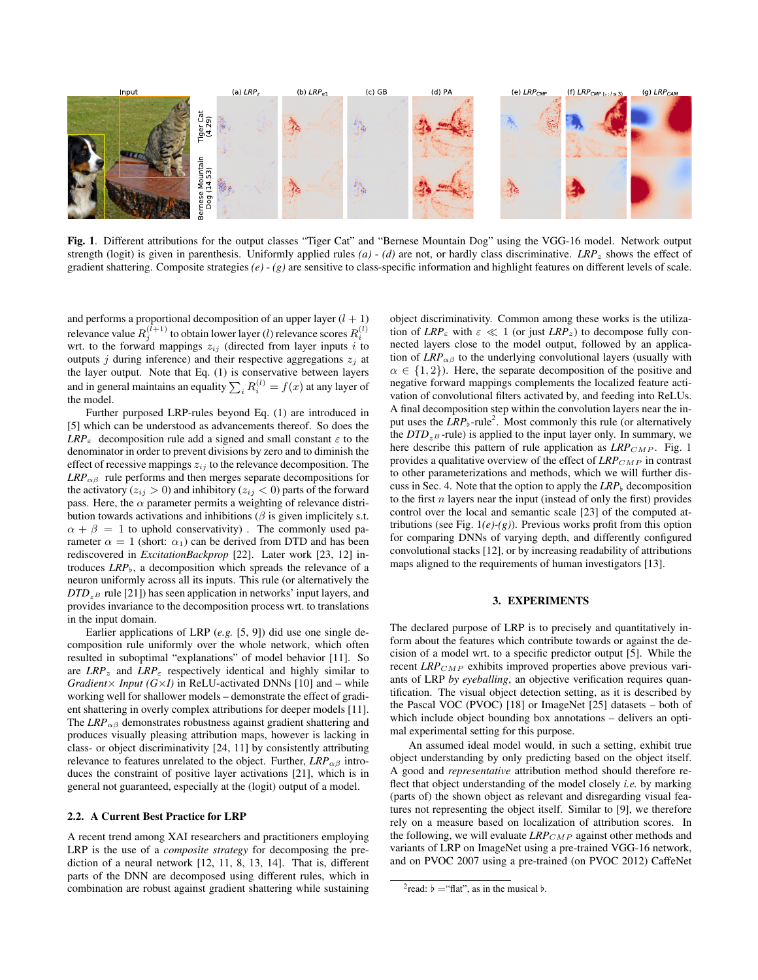

Fig. 1. Different attributions for the output classes "Tiger Cat" and "Bernese Mountain Dog" using the VGG-16 model. Network output strength (logit) is given in parenthesis. Uniformly applied rules *(a)* - *(d)* are not, or hardly class discriminative. *LRP*<sup>z</sup> shows the effect of gradient shattering. Composite strategies  $(e) - (g)$  are sensitive to class-specific information and highlight features on different levels of scale.

and performs a proportional decomposition of an upper layer  $(l + 1)$ relevance value  $R_j^{(l+1)}$  to obtain lower layer ( $l$ ) relevance scores  $R_i^{(l)}$ wrt. to the forward mappings  $z_{ij}$  (directed from layer inputs i to outputs j during inference) and their respective aggregations  $z_i$  at the layer output. Note that Eq. (1) is conservative between layers and in general maintains an equality  $\sum_i R_i^{(l)}=f(x)$  at any layer of the model.

Further purposed LRP-rules beyond Eq. (1) are introduced in [5] which can be understood as advancements thereof. So does the  $LRP_{\varepsilon}$  decomposition rule add a signed and small constant  $\varepsilon$  to the denominator in order to prevent divisions by zero and to diminish the effect of recessive mappings  $z_{ij}$  to the relevance decomposition. The  $LRP_{\alpha\beta}$  rule performs and then merges separate decompositions for the activatory ( $z_{ij} > 0$ ) and inhibitory ( $z_{ij} < 0$ ) parts of the forward pass. Here, the  $\alpha$  parameter permits a weighting of relevance distribution towards activations and inhibitions ( $\beta$  is given implicitely s.t.  $\alpha + \beta = 1$  to uphold conservativity). The commonly used parameter  $\alpha = 1$  (short:  $\alpha_1$ ) can be derived from DTD and has been rediscovered in *ExcitationBackprop* [22]. Later work [23, 12] introduces  $LRP_{\rm b}$ , a decomposition which spreads the relevance of a neuron uniformly across all its inputs. This rule (or alternatively the  $DTD_{zB}$  rule [21]) has seen application in networks' input layers, and provides invariance to the decomposition process wrt. to translations in the input domain.

Earlier applications of LRP (*e.g.* [5, 9]) did use one single decomposition rule uniformly over the whole network, which often resulted in suboptimal "explanations" of model behavior [11]. So are  $LRP_z$  and  $LRP_{\varepsilon}$  respectively identical and highly similar to *Gradient* $\times$  *Input* (*G* $\times$ *I*) in ReLU-activated DNNs [10] and – while working well for shallower models – demonstrate the effect of gradient shattering in overly complex attributions for deeper models [11]. The  $LRP_{\alpha\beta}$  demonstrates robustness against gradient shattering and produces visually pleasing attribution maps, however is lacking in class- or object discriminativity [24, 11] by consistently attributing relevance to features unrelated to the object. Further,  $LRP_{\alpha\beta}$  introduces the constraint of positive layer activations [21], which is in general not guaranteed, especially at the (logit) output of a model.

## 2.2. A Current Best Practice for LRP

A recent trend among XAI researchers and practitioners employing LRP is the use of a *composite strategy* for decomposing the prediction of a neural network [12, 11, 8, 13, 14]. That is, different parts of the DNN are decomposed using different rules, which in combination are robust against gradient shattering while sustaining

object discriminativity. Common among these works is the utilization of  $LRP_{\varepsilon}$  with  $\varepsilon \ll 1$  (or just  $LRP_z$ ) to decompose fully connected layers close to the model output, followed by an application of  $LRP_{\alpha\beta}$  to the underlying convolutional layers (usually with  $\alpha \in \{1, 2\}$ . Here, the separate decomposition of the positive and negative forward mappings complements the localized feature activation of convolutional filters activated by, and feeding into ReLUs. A final decomposition step within the convolution layers near the input uses the *LRP*<sub>b</sub>-rule<sup>2</sup>. Most commonly this rule (or alternatively the  $DTD_{z^B}$ -rule) is applied to the input layer only. In summary, we here describe this pattern of rule application as *LRP<sub>CMP</sub>*. Fig. 1 provides a qualitative overview of the effect of  $\textit{LRP}_{\textit{CMP}}$  in contrast to other parameterizations and methods, which we will further discuss in Sec. 4. Note that the option to apply the  $LRP_b$  decomposition to the first  $n$  layers near the input (instead of only the first) provides control over the local and semantic scale [23] of the computed attributions (see Fig. 1*(e)*-*(g)*). Previous works profit from this option for comparing DNNs of varying depth, and differently configured convolutional stacks [12], or by increasing readability of attributions maps aligned to the requirements of human investigators [13].

### 3. EXPERIMENTS

The declared purpose of LRP is to precisely and quantitatively inform about the features which contribute towards or against the decision of a model wrt. to a specific predictor output [5]. While the recent  $LRP_{CMP}$  exhibits improved properties above previous variants of LRP *by eyeballing*, an objective verification requires quantification. The visual object detection setting, as it is described by the Pascal VOC (PVOC) [18] or ImageNet [25] datasets – both of which include object bounding box annotations – delivers an optimal experimental setting for this purpose.

An assumed ideal model would, in such a setting, exhibit true object understanding by only predicting based on the object itself. A good and *representative* attribution method should therefore reflect that object understanding of the model closely *i.e.* by marking (parts of) the shown object as relevant and disregarding visual features not representing the object itself. Similar to [9], we therefore rely on a measure based on localization of attribution scores. In the following, we will evaluate  $LRP_{CMP}$  against other methods and variants of LRP on ImageNet using a pre-trained VGG-16 network, and on PVOC 2007 using a pre-trained (on PVOC 2012) CaffeNet

<sup>&</sup>lt;sup>2</sup> read:  $\flat$  = "flat", as in the musical  $\flat$ .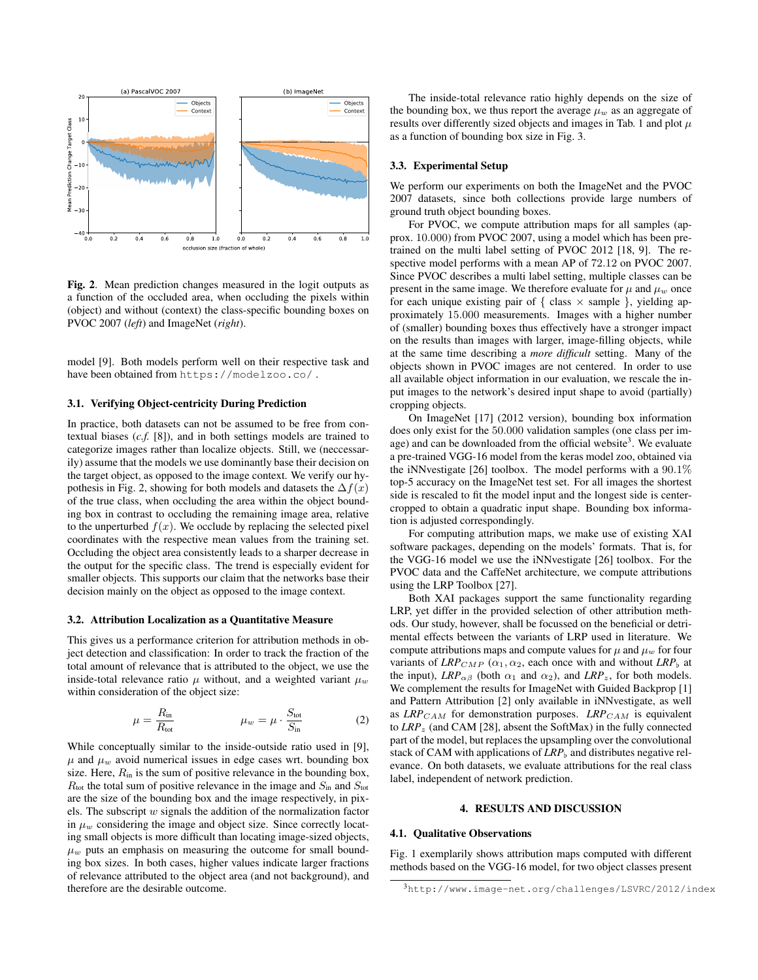

Fig. 2. Mean prediction changes measured in the logit outputs as a function of the occluded area, when occluding the pixels within (object) and without (context) the class-specific bounding boxes on PVOC 2007 (*left*) and ImageNet (*right*).

model [9]. Both models perform well on their respective task and have been obtained from https://modelzoo.co/ .

#### 3.1. Verifying Object-centricity During Prediction

In practice, both datasets can not be assumed to be free from contextual biases (*c.f.* [8]), and in both settings models are trained to categorize images rather than localize objects. Still, we (neccessarily) assume that the models we use dominantly base their decision on the target object, as opposed to the image context. We verify our hypothesis in Fig. 2, showing for both models and datasets the  $\Delta f(x)$ of the true class, when occluding the area within the object bounding box in contrast to occluding the remaining image area, relative to the unperturbed  $f(x)$ . We occlude by replacing the selected pixel coordinates with the respective mean values from the training set. Occluding the object area consistently leads to a sharper decrease in the output for the specific class. The trend is especially evident for smaller objects. This supports our claim that the networks base their decision mainly on the object as opposed to the image context.

#### 3.2. Attribution Localization as a Quantitative Measure

This gives us a performance criterion for attribution methods in object detection and classification: In order to track the fraction of the total amount of relevance that is attributed to the object, we use the inside-total relevance ratio  $\mu$  without, and a weighted variant  $\mu_w$ within consideration of the object size:

$$
\mu = \frac{R_{\rm in}}{R_{\rm tot}} \qquad \mu_w = \mu \cdot \frac{S_{\rm tot}}{S_{\rm in}} \qquad (2)
$$

While conceptually similar to the inside-outside ratio used in [9],  $\mu$  and  $\mu_w$  avoid numerical issues in edge cases wrt. bounding box size. Here,  $R_{\text{in}}$  is the sum of positive relevance in the bounding box,  $R_{\text{tot}}$  the total sum of positive relevance in the image and  $S_{\text{in}}$  and  $S_{\text{tot}}$ are the size of the bounding box and the image respectively, in pixels. The subscript  $w$  signals the addition of the normalization factor in  $\mu_w$  considering the image and object size. Since correctly locating small objects is more difficult than locating image-sized objects,  $\mu_w$  puts an emphasis on measuring the outcome for small bounding box sizes. In both cases, higher values indicate larger fractions of relevance attributed to the object area (and not background), and therefore are the desirable outcome.

The inside-total relevance ratio highly depends on the size of the bounding box, we thus report the average  $\mu_w$  as an aggregate of results over differently sized objects and images in Tab. 1 and plot  $\mu$ as a function of bounding box size in Fig. 3.

#### 3.3. Experimental Setup

We perform our experiments on both the ImageNet and the PVOC 2007 datasets, since both collections provide large numbers of ground truth object bounding boxes.

For PVOC, we compute attribution maps for all samples (approx. 10.000) from PVOC 2007, using a model which has been pretrained on the multi label setting of PVOC 2012 [18, 9]. The respective model performs with a mean AP of 72.12 on PVOC 2007. Since PVOC describes a multi label setting, multiple classes can be present in the same image. We therefore evaluate for  $\mu$  and  $\mu_w$  once for each unique existing pair of  $\{ \text{ class } \times \text{ sample } \}$ , yielding approximately 15.000 measurements. Images with a higher number of (smaller) bounding boxes thus effectively have a stronger impact on the results than images with larger, image-filling objects, while at the same time describing a *more difficult* setting. Many of the objects shown in PVOC images are not centered. In order to use all available object information in our evaluation, we rescale the input images to the network's desired input shape to avoid (partially) cropping objects.

On ImageNet [17] (2012 version), bounding box information does only exist for the 50.000 validation samples (one class per image) and can be downloaded from the official website<sup>3</sup>. We evaluate a pre-trained VGG-16 model from the keras model zoo, obtained via the iNNvestigate [26] toolbox. The model performs with a 90.1% top-5 accuracy on the ImageNet test set. For all images the shortest side is rescaled to fit the model input and the longest side is centercropped to obtain a quadratic input shape. Bounding box information is adjusted correspondingly.

For computing attribution maps, we make use of existing XAI software packages, depending on the models' formats. That is, for the VGG-16 model we use the iNNvestigate [26] toolbox. For the PVOC data and the CaffeNet architecture, we compute attributions using the LRP Toolbox [27].

Both XAI packages support the same functionality regarding LRP, yet differ in the provided selection of other attribution methods. Our study, however, shall be focussed on the beneficial or detrimental effects between the variants of LRP used in literature. We compute attributions maps and compute values for  $\mu$  and  $\mu_w$  for four variants of *LRP<sub>CMP</sub>* ( $\alpha_1, \alpha_2$ , each once with and without *LRP<sub>b</sub>* at the input),  $LRP_{\alpha\beta}$  (both  $\alpha_1$  and  $\alpha_2$ ), and  $LRP_z$ , for both models. We complement the results for ImageNet with Guided Backprop [1] and Pattern Attribution [2] only available in iNNvestigate, as well as *LRP*<sub>CAM</sub> for demonstration purposes. *LRP*<sub>CAM</sub> is equivalent to *LRP*<sup>z</sup> (and CAM [28], absent the SoftMax) in the fully connected part of the model, but replaces the upsampling over the convolutional stack of CAM with applications of  $LRP<sub>b</sub>$  and distributes negative relevance. On both datasets, we evaluate attributions for the real class label, independent of network prediction.

# 4. RESULTS AND DISCUSSION

# 4.1. Qualitative Observations

Fig. 1 exemplarily shows attribution maps computed with different methods based on the VGG-16 model, for two object classes present

<sup>3</sup>http://www.image-net.org/challenges/LSVRC/2012/index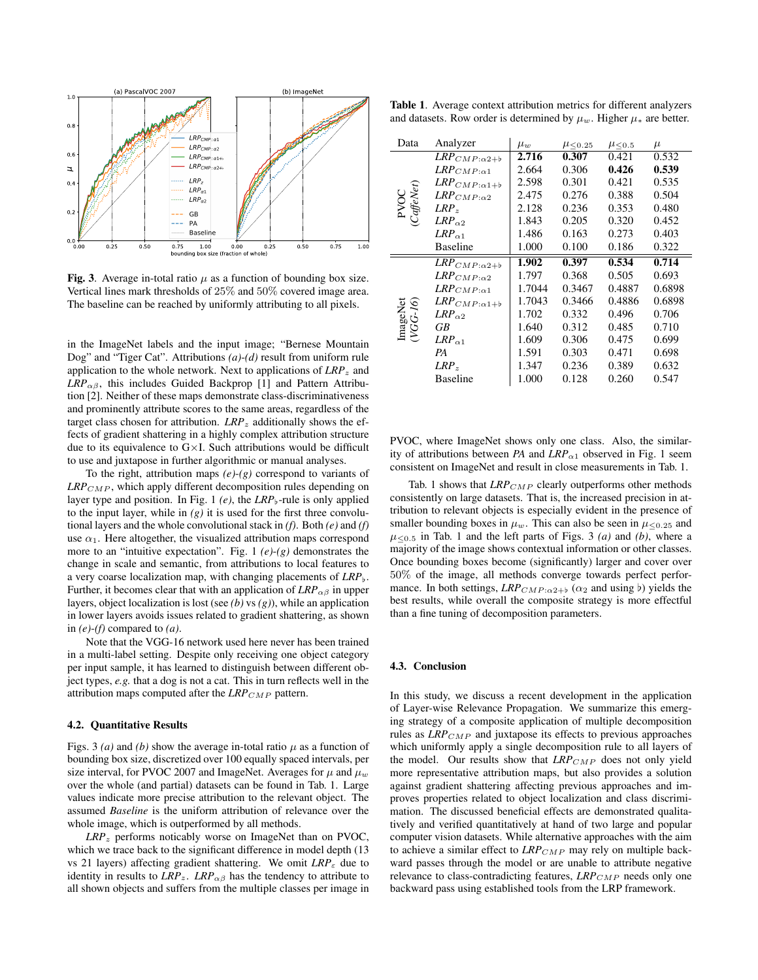

Fig. 3. Average in-total ratio  $\mu$  as a function of bounding box size. Vertical lines mark thresholds of 25% and 50% covered image area. The baseline can be reached by uniformly attributing to all pixels.

in the ImageNet labels and the input image; "Bernese Mountain Dog" and "Tiger Cat". Attributions *(a)*-*(d)* result from uniform rule application to the whole network. Next to applications of  $\textit{LRP}_z$  and  $LRP_{\alpha\beta}$ , this includes Guided Backprop [1] and Pattern Attribution [2]. Neither of these maps demonstrate class-discriminativeness and prominently attribute scores to the same areas, regardless of the target class chosen for attribution.  $LRP_z$  additionally shows the effects of gradient shattering in a highly complex attribution structure due to its equivalence to  $G \times I$ . Such attributions would be difficult to use and juxtapose in further algorithmic or manual analyses.

To the right, attribution maps *(e)*-*(g)* correspond to variants of  $LRP_{CMP}$ , which apply different decomposition rules depending on layer type and position. In Fig. 1 (e), the LRP<sub>b</sub>-rule is only applied to the input layer, while in  $(g)$  it is used for the first three convolutional layers and the whole convolutional stack in *(f)*. Both *(e)* and *(f)* use  $\alpha_1$ . Here altogether, the visualized attribution maps correspond more to an "intuitive expectation". Fig. 1 *(e)*-*(g)* demonstrates the change in scale and semantic, from attributions to local features to a very coarse localization map, with changing placements of  $LRP_{\nu}$ . Further, it becomes clear that with an application of  $LRP_{\alpha\beta}$  in upper layers, object localization is lost (see *(b)* vs *(g)*), while an application in lower layers avoids issues related to gradient shattering, as shown in *(e)*-*(f)* compared to *(a)*.

Note that the VGG-16 network used here never has been trained in a multi-label setting. Despite only receiving one object category per input sample, it has learned to distinguish between different object types, *e.g.* that a dog is not a cat. This in turn reflects well in the attribution maps computed after the *LRP*<sub>CMP</sub> pattern.

## 4.2. Quantitative Results

Figs. 3 (*a*) and (*b*) show the average in-total ratio  $\mu$  as a function of bounding box size, discretized over 100 equally spaced intervals, per size interval, for PVOC 2007 and ImageNet. Averages for  $\mu$  and  $\mu_w$ over the whole (and partial) datasets can be found in Tab. 1. Large values indicate more precise attribution to the relevant object. The assumed *Baseline* is the uniform attribution of relevance over the whole image, which is outperformed by all methods.

*LRP*<sup>z</sup> performs noticably worse on ImageNet than on PVOC, which we trace back to the significant difference in model depth (13 vs 21 layers) affecting gradient shattering. We omit *LRP*<sub>ε</sub> due to identity in results to  $\text{LRP}_z$ .  $\text{LRP}_{\alpha\beta}$  has the tendency to attribute to all shown objects and suffers from the multiple classes per image in

Table 1. Average context attribution metrics for different analyzers and datasets. Row order is determined by  $\mu_w$ . Higher  $\mu_*$  are better.

| Data                 | Analyzer                                    | $\mu_w$ | $\mu$ < 0.25 | $\mu$ < 0.5 | $\mu$  |
|----------------------|---------------------------------------------|---------|--------------|-------------|--------|
| PVOC<br>(CaffeNet)   | $\textit{LRP}_{\textit{CMP}:\alpha2+\flat}$ | 2.716   | 0.307        | 0.421       | 0.532  |
|                      | ${\it LRP}_{CMP:\alpha1}$                   | 2.664   | 0.306        | 0.426       | 0.539  |
|                      | $\textit{LRP}_{\textit{CMP}:\alpha1+\flat}$ | 2.598   | 0.301        | 0.421       | 0.535  |
|                      | $\mathit{LRP}_{\mathit{CMP}:\alpha 2}$      | 2.475   | 0.276        | 0.388       | 0.504  |
|                      | $LRP_z$                                     | 2.128   | 0.236        | 0.353       | 0.480  |
|                      | $LRP_{\alpha2}$                             | 1.843   | 0.205        | 0.320       | 0.452  |
|                      | $LRP_{\alpha 1}$                            | 1.486   | 0.163        | 0.273       | 0.403  |
|                      | Baseline                                    | 1.000   | 0.100        | 0.186       | 0.322  |
| ImageNet<br>(VGG-16) | $\textit{LRP}_{\textit{CMP}:\alpha2+\flat}$ | 1.902   | 0.397        | 0.534       | 0.714  |
|                      | $\mathit{LRP}_{\mathit{CMP}:\alpha 2}$      | 1.797   | 0.368        | 0.505       | 0.693  |
|                      | ${\it LRP}_{CMP:\alpha1}$                   | 1.7044  | 0.3467       | 0.4887      | 0.6898 |
|                      | $\textit{LRP}_{\textit{CMP}:\alpha1+\flat}$ | 1.7043  | 0.3466       | 0.4886      | 0.6898 |
|                      | $LRP_{\alpha2}$                             | 1.702   | 0.332        | 0.496       | 0.706  |
|                      | GВ                                          | 1.640   | 0.312        | 0.485       | 0.710  |
|                      | $LRP_{\alpha 1}$                            | 1.609   | 0.306        | 0.475       | 0.699  |
|                      | PA                                          | 1.591   | 0.303        | 0.471       | 0.698  |
|                      | $LRP_z$                                     | 1.347   | 0.236        | 0.389       | 0.632  |
|                      | <b>Baseline</b>                             | 1.000   | 0.128        | 0.260       | 0.547  |

PVOC, where ImageNet shows only one class. Also, the similarity of attributions between *PA* and  $LRP_{\alpha1}$  observed in Fig. 1 seem consistent on ImageNet and result in close measurements in Tab. 1.

Tab. 1 shows that  $LRP_{CMP}$  clearly outperforms other methods consistently on large datasets. That is, the increased precision in attribution to relevant objects is especially evident in the presence of smaller bounding boxes in  $\mu_w$ . This can also be seen in  $\mu_{\leq 0.25}$  and  $\mu$ <0.5 in Tab. 1 and the left parts of Figs. 3 *(a)* and *(b)*, where a majority of the image shows contextual information or other classes. Once bounding boxes become (significantly) larger and cover over 50% of the image, all methods converge towards perfect performance. In both settings,  $LRP_{CMP:\alpha^2+\beta}$  ( $\alpha_2$  and using b) yields the best results, while overall the composite strategy is more effectful than a fine tuning of decomposition parameters.

## 4.3. Conclusion

In this study, we discuss a recent development in the application of Layer-wise Relevance Propagation. We summarize this emerging strategy of a composite application of multiple decomposition rules as  $LRP_{CMP}$  and juxtapose its effects to previous approaches which uniformly apply a single decomposition rule to all layers of the model. Our results show that *LRP<sub>CMP</sub>* does not only yield more representative attribution maps, but also provides a solution against gradient shattering affecting previous approaches and improves properties related to object localization and class discrimimation. The discussed beneficial effects are demonstrated qualitatively and verified quantitatively at hand of two large and popular computer vision datasets. While alternative approaches with the aim to achieve a similar effect to *LRP<sub>CMP</sub>* may rely on multiple backward passes through the model or are unable to attribute negative relevance to class-contradicting features, *LRP<sub>CMP</sub>* needs only one backward pass using established tools from the LRP framework.